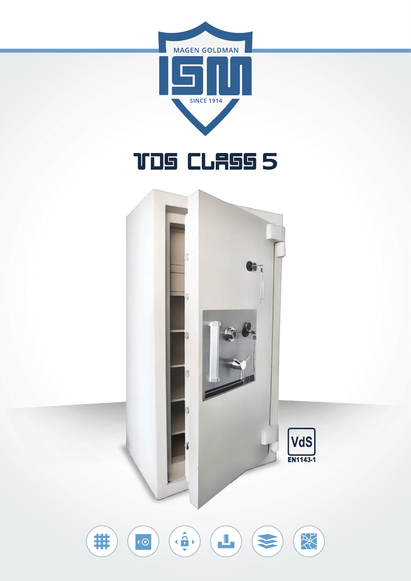